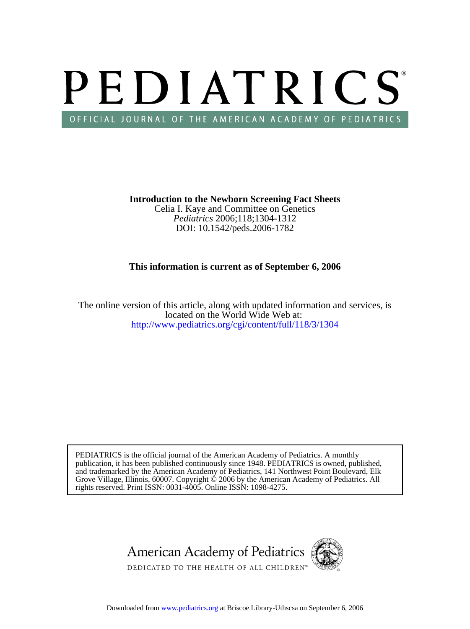# PEDIATRICS OFFICIAL JOURNAL OF THE AMERICAN ACADEMY OF PEDIATRICS

DOI: 10.1542/peds.2006-1782 *Pediatrics* 2006;118;1304-1312 Celia I. Kaye and Committee on Genetics **Introduction to the Newborn Screening Fact Sheets**

# **This information is current as of September 6, 2006**

<http://www.pediatrics.org/cgi/content/full/118/3/1304> located on the World Wide Web at: The online version of this article, along with updated information and services, is

rights reserved. Print ISSN: 0031-4005. Online ISSN: 1098-4275. Grove Village, Illinois, 60007. Copyright  $\ddot{\odot}$  2006 by the American Academy of Pediatrics. All and trademarked by the American Academy of Pediatrics, 141 Northwest Point Boulevard, Elk publication, it has been published continuously since 1948. PEDIATRICS is owned, published, PEDIATRICS is the official journal of the American Academy of Pediatrics. A monthly

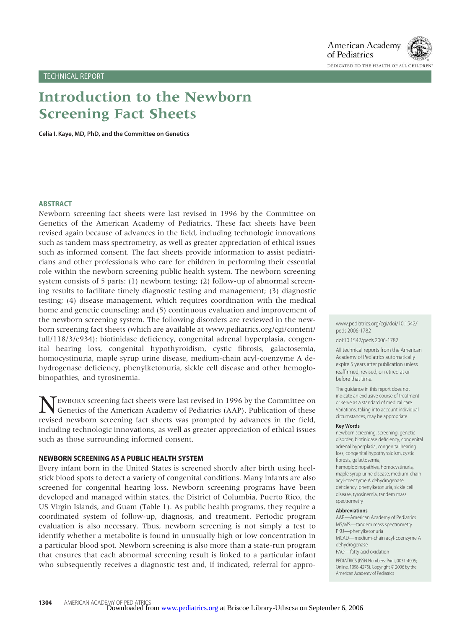#### TECHNICAL REPORT

# **Introduction to the Newborn Screening Fact Sheets**

**Celia I. Kaye, MD, PhD, and the Committee on Genetics**

## **ABSTRACT**

Newborn screening fact sheets were last revised in 1996 by the Committee on Genetics of the American Academy of Pediatrics. These fact sheets have been revised again because of advances in the field, including technologic innovations such as tandem mass spectrometry, as well as greater appreciation of ethical issues such as informed consent. The fact sheets provide information to assist pediatricians and other professionals who care for children in performing their essential role within the newborn screening public health system. The newborn screening system consists of 5 parts: (1) newborn testing; (2) follow-up of abnormal screening results to facilitate timely diagnostic testing and management; (3) diagnostic testing; (4) disease management, which requires coordination with the medical home and genetic counseling; and (5) continuous evaluation and improvement of the newborn screening system. The following disorders are reviewed in the newborn screening fact sheets (which are available at www.pediatrics.org/cgi/content/ full/118/3/e934): biotinidase deficiency, congenital adrenal hyperplasia, congenital hearing loss, congenital hypothyroidism, cystic fibrosis, galactosemia, homocystinuria, maple syrup urine disease, medium-chain acyl-coenzyme A dehydrogenase deficiency, phenylketonuria, sickle cell disease and other hemoglobinopathies, and tyrosinemia.

 $\mathsf{T}$  EWBORN screening fact sheets were last revised in 1996 by the Committee on Genetics of the American Academy of Pediatrics (AAP). Publication of these revised newborn screening fact sheets was prompted by advances in the field, including technologic innovations, as well as greater appreciation of ethical issues such as those surrounding informed consent.

#### **NEWBORN SCREENING AS A PUBLIC HEALTH SYSTEM**

Every infant born in the United States is screened shortly after birth using heelstick blood spots to detect a variety of congenital conditions. Many infants are also screened for congenital hearing loss. Newborn screening programs have been developed and managed within states, the District of Columbia, Puerto Rico, the US Virgin Islands, and Guam (Table 1). As public health programs, they require a coordinated system of follow-up, diagnosis, and treatment. Periodic program evaluation is also necessary. Thus, newborn screening is not simply a test to identify whether a metabolite is found in unusually high or low concentration in a particular blood spot. Newborn screening is also more than a state-run program that ensures that each abnormal screening result is linked to a particular infant who subsequently receives a diagnostic test and, if indicated, referral for approwww.pediatrics.org/cgi/doi/10.1542/ peds.2006-1782

doi:10.1542/peds.2006-1782

All technical reports from the American Academy of Pediatrics automatically expire 5 years after publication unless reaffirmed, revised, or retired at or before that time.

The guidance in this report does not indicate an exclusive course of treatment or serve as a standard of medical care. Variations, taking into account individual circumstances, may be appropriate.

#### **Key Words**

newborn screening, screening, genetic disorder, biotinidase deficiency, congenital adrenal hyperplasia, congenital hearing loss, congenital hypothyroidism, cystic fibrosis, galactosemia, hemoglobinopathies, homocystinuria, maple syrup urine disease, medium-chain acyl-coenzyme A dehydrogenase

deficiency, phenylketonuria, sickle cell disease, tyrosinemia, tandem mass spectrometry

#### **Abbreviations**

AAP—American Academy of Pediatrics MS/MS—tandem mass spectrometry PKU—phenylketonuria MCAD—medium-chain acyl-coenzyme A dehydrogenase

FAO—fatty acid oxidation

PEDIATRICS (ISSN Numbers: Print, 0031-4005; Online, 1098-4275). Copyright © 2006 by the American Academy of Pediatrics

# American Academy of Pediatrics DEDICATED TO THE HEALTH OF ALL CHILDRE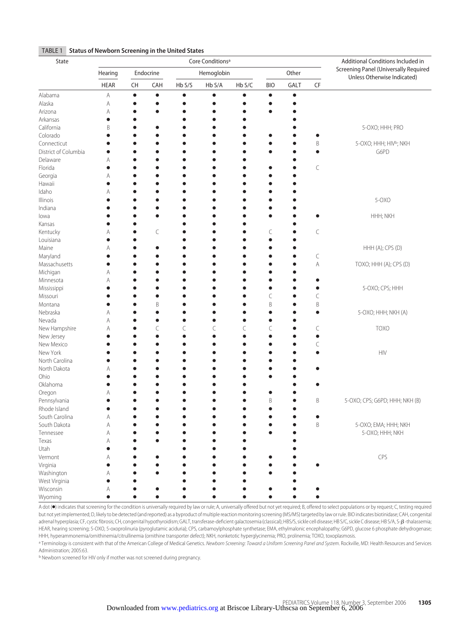| TABLE 1 Status of Newborn Screening in the United States |
|----------------------------------------------------------|
|                                                          |

| State                |             |           |           |           | Core Conditions <sup>a</sup> |           |            |             |           | Additional Conditions Included in                                           |  |  |  |  |
|----------------------|-------------|-----------|-----------|-----------|------------------------------|-----------|------------|-------------|-----------|-----------------------------------------------------------------------------|--|--|--|--|
|                      | Hearing     |           | Endocrine |           | Hemoglobin                   |           |            | Other       |           | <b>Screening Panel (Universally Required</b><br>Unless Otherwise Indicated) |  |  |  |  |
|                      | <b>HEAR</b> | CH        | CAH       | Hb S/S    | Hb S/A                       | Hb S/C    | <b>BIO</b> | <b>GALT</b> | $\sf CF$  |                                                                             |  |  |  |  |
| Alabama              | A           | $\bullet$ | $\bullet$ | $\bullet$ | $\bullet$                    | $\bullet$ | $\bullet$  | $\bullet$   |           |                                                                             |  |  |  |  |
| Alaska               | Α           |           |           |           |                              |           |            |             |           |                                                                             |  |  |  |  |
| Arizona              | Α           |           |           |           |                              |           |            |             |           |                                                                             |  |  |  |  |
| Arkansas             | ė           |           |           |           |                              |           |            |             |           |                                                                             |  |  |  |  |
| California           | B           |           |           |           |                              |           |            |             |           | 5-OXO; HHH; PRO                                                             |  |  |  |  |
| Colorado             |             |           |           |           |                              |           |            |             | 0         |                                                                             |  |  |  |  |
| Connecticut          |             |           |           |           |                              |           |            |             | B         | 5-OXO; HHH; HIV <sup>b</sup> ; NKH                                          |  |  |  |  |
| District of Columbia |             |           |           |           |                              |           |            |             | $\bullet$ | G6PD                                                                        |  |  |  |  |
| Delaware             | A           |           |           |           |                              |           |            |             |           |                                                                             |  |  |  |  |
| Florida              | ٠           |           |           |           |                              |           |            |             | C         |                                                                             |  |  |  |  |
| Georgia              | Α           |           |           |           |                              |           |            |             |           |                                                                             |  |  |  |  |
| Hawaii               |             |           |           |           |                              |           |            |             |           |                                                                             |  |  |  |  |
| Idaho                | A           |           |           |           |                              |           |            |             |           |                                                                             |  |  |  |  |
| Illinois             |             |           |           |           |                              |           |            |             |           | 5-0X0                                                                       |  |  |  |  |
| Indiana              |             |           |           |           |                              |           |            |             |           |                                                                             |  |  |  |  |
| lowa                 |             |           |           |           |                              |           |            |             |           | HHH; NKH                                                                    |  |  |  |  |
| Kansas               |             |           |           |           |                              |           |            |             |           |                                                                             |  |  |  |  |
| Kentucky             | A           |           | C         |           |                              |           | С          |             | C         |                                                                             |  |  |  |  |
| Louisiana            |             |           |           |           |                              |           |            |             |           |                                                                             |  |  |  |  |
| Maine                | Α           |           |           |           |                              |           |            |             |           | HHH (A); CPS (D)                                                            |  |  |  |  |
| Maryland             |             |           |           |           |                              |           |            |             | С         |                                                                             |  |  |  |  |
| Massachusetts        |             |           |           |           |                              |           |            |             | A         | TOXO; HHH (A); CPS (D)                                                      |  |  |  |  |
| Michigan             | Α           |           |           |           |                              |           |            |             |           |                                                                             |  |  |  |  |
| Minnesota            | Α           |           |           |           |                              |           |            |             |           |                                                                             |  |  |  |  |
| Mississippi          |             |           |           |           |                              |           | Q          |             | $\bullet$ | 5-OXO; CPS; HHH                                                             |  |  |  |  |
| Missouri             |             |           |           |           |                              |           | C          |             | C         |                                                                             |  |  |  |  |
| Montana              |             |           | B         |           |                              |           | B          |             | B         |                                                                             |  |  |  |  |
| Nebraska             | A           |           | ٠         |           |                              |           | $\bullet$  |             | $\bullet$ | 5-OXO; HHH; NKH (A)                                                         |  |  |  |  |
| Nevada               | Α           |           |           |           |                              |           |            |             |           |                                                                             |  |  |  |  |
| New Hampshire        | Α           |           | C         | C         | C                            | C         | С          |             | С         | <b>TOXO</b>                                                                 |  |  |  |  |
| New Jersey           |             |           |           |           |                              |           | c          |             | $\bullet$ |                                                                             |  |  |  |  |
| New Mexico           |             |           |           |           |                              |           |            |             | C         |                                                                             |  |  |  |  |
| New York             |             |           |           |           |                              |           |            |             | $\bullet$ | <b>HIV</b>                                                                  |  |  |  |  |
| North Carolina       |             |           |           |           |                              |           |            |             |           |                                                                             |  |  |  |  |
| North Dakota         | A           |           |           |           |                              |           |            |             |           |                                                                             |  |  |  |  |
| Ohio                 |             |           |           |           |                              |           |            |             |           |                                                                             |  |  |  |  |
| Oklahoma             |             |           |           |           |                              |           |            |             |           |                                                                             |  |  |  |  |
| Oregon               | Α           |           |           |           |                              |           |            |             |           |                                                                             |  |  |  |  |
| Pennsylvania         |             |           |           |           |                              |           | B          |             | B         | 5-OXO; CPS; G6PD; HHH; NKH (B)                                              |  |  |  |  |
| Rhode Island         | 6           |           |           |           |                              |           |            |             |           |                                                                             |  |  |  |  |
| South Carolina       | Α           |           |           |           |                              |           |            |             |           |                                                                             |  |  |  |  |
| South Dakota         | А           |           |           |           |                              |           |            |             | B         | 5-OXO; EMA; HHH; NKH                                                        |  |  |  |  |
| Tennessee            | A           |           |           |           |                              |           |            |             |           | 5-OXO; HHH; NKH                                                             |  |  |  |  |
| Texas                | A           |           |           |           |                              |           |            |             |           |                                                                             |  |  |  |  |
| Utah                 |             |           |           |           |                              |           |            |             |           |                                                                             |  |  |  |  |
| Vermont              | A           |           |           |           |                              |           |            |             |           | CPS                                                                         |  |  |  |  |
| Virginia             |             |           |           |           |                              |           |            |             |           |                                                                             |  |  |  |  |
| Washington           | A           |           |           |           |                              |           |            |             |           |                                                                             |  |  |  |  |
| West Virginia        |             |           |           |           |                              |           |            |             |           |                                                                             |  |  |  |  |
| Wisconsin            | A           |           |           |           |                              |           |            |             |           |                                                                             |  |  |  |  |
| Wyoming              | $\bullet$   |           |           |           |                              |           |            |             |           |                                                                             |  |  |  |  |

A dot (·) indicates that screening for the condition is universally required by law or rule; A, universally offered but not yet required; B, offered to select populations or by request; C, testing required but not yet implemented; D, likely to be detected (and reported) as a byproduct of multiple reaction monitoring screening (MS/MS) targeted by law or rule. BIO indicates biotinidase; CAH, congenital adrenal hyperplasia; CF, cystic fibrosis; CH, congenital hypothyroidism; GALT, transferase-deficient galactosemia (classical); HBS/S, sickle cell disease; HB S/C, sickle C disease; HB S/A, S- $\beta$ -thalassemia; HEAR, hearing screening; 5-OXO, 5-oxoprolinuria (pyroglutamic aciduria); CPS, carbamoylphosphate synthetase; EMA, ethylmalonic encephalopathy; G6PD, glucose 6 phosphate dehydrogenase; HHH, hyperammonemia/ornithinemia/citrullinemia (ornithine transporter defect); NKH, nonketotic hyperglycinemia; PRO, prolinemia; TOXO, toxoplasmosis.

a Terminology is consistent with that of the American College of Medical Genetics. Newborn Screening: Toward a Uniform Screening Panel and System. Rockville, MD: Health Resources and Services Administration; 2005:63.

b Newborn screened for HIV only if mother was not screened during pregnancy.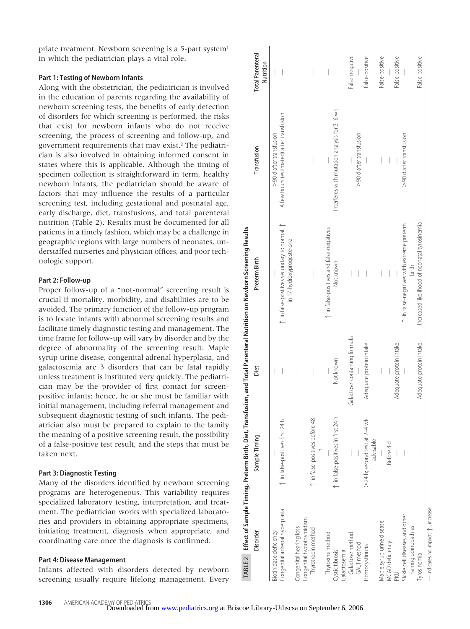priate treatment. Newborn screening is a 5-part system<sup>1</sup> in which the pediatrician plays a vital role.

# **Part 1: Testing of Newborn Infants**

Along with the obstetrician, the pediatrician is involved in the education of parents regarding the availability of newborn screening tests, the benefits of early detection of disorders for which screening is performed, the risks that exist for newborn infants who do not receive screening, the process of screening and follow-up, and government requirements that may exist.2 The pediatrician is also involved in obtaining informed consent in states where this is applicable. Although the timing of specimen collection is straightforward in term, healthy newborn infants, the pediatrician should be aware of factors that may influence the results of a particular screening test, including gestational and postnatal age, early discharge, diet, transfusions, and total parenteral nutrition (Table 2). Results must be documented for all patients in a timely fashion, which may be a challenge in geographic regions with large numbers of neonates, understaffed nurseries and physician offices, and poor technologic support.

## **Part 2: Follow-up**

Proper follow-up of a "not-normal" screening result is crucial if mortality, morbidity, and disabilities are to be avoided. The primary function of the follow-up program is to locate infants with abnormal screening results and facilitate timely diagnostic testing and management. The time frame for follow-up will vary by disorder and by the degree of abnormality of the screening result. Maple syrup urine disease, congenital adrenal hyperplasia, and galactosemia are 3 disorders that can be fatal rapidly unless treatment is instituted very quickly. The pediatrician may be the provider of first contact for screenpositive infants; hence, he or she must be familiar with initial management, including referral management and subsequent diagnostic testing of such infants. The pediatrician also must be prepared to explain to the family the meaning of a positive screening result, the possibility of a false-positive test result, and the steps that must be taken next.

#### **Part 3: Diagnostic Testing**

Many of the disorders identified by newborn screening programs are heterogeneous. This variability requires specialized laboratory testing, interpretation, and treatment. The pediatrician works with specialized laboratories and providers in obtaining appropriate specimens, initiating treatment, diagnosis when appropriate, and coordinating care once the diagnosis is confirmed.

#### **Part 4: Disease Management**

Infants affected with disorders detected by newborn screening usually require lifelong management. Every

|                                     |                                    |                              | TABLE 2 Effect of Sample Timing, Preterm Birth, Diet, Transfusion, and Total Parenteral Nutrition on Newborn Screening Results |                                              |                                      |
|-------------------------------------|------------------------------------|------------------------------|--------------------------------------------------------------------------------------------------------------------------------|----------------------------------------------|--------------------------------------|
| Disorder                            | Sample Timing                      | Diet                         | Preterm Birth                                                                                                                  | Transfusion                                  | <b>Total Parenteral</b><br>Nutrition |
| Biotinidase deficiency              |                                    |                              |                                                                                                                                | >90 d after transfusion                      |                                      |
| Congenital adrenal hyperplasia      | 1 in false-positives first 24 h    |                              | ↑ in false-positives secondary to normal ↑<br>in 17-hydroxyprogesterone                                                        | A few hours (estimated) after transfusion    |                                      |
| Congenital hearing loss             |                                    |                              |                                                                                                                                |                                              |                                      |
| Congenital hypothyroidism           |                                    |                              |                                                                                                                                |                                              |                                      |
| Thyrotropin method                  | 1 in false-positives before 48     |                              |                                                                                                                                |                                              |                                      |
| Thyroxine method                    |                                    |                              | 1 in false-positives and false-negatives                                                                                       |                                              |                                      |
| Cystic fibrosis                     | ↑ in false-positives in first 24 h | Not known                    | Not known                                                                                                                      | Interferes with mutation analysis for 3-6 wk |                                      |
| Galactosemia                        |                                    |                              |                                                                                                                                |                                              |                                      |
| Galactose method                    |                                    | Galactose-containing formula |                                                                                                                                |                                              | False-negative                       |
| GALT method                         |                                    |                              |                                                                                                                                | >90 d after transfusion                      |                                      |
| Homocystinuria                      | >24 h; second test at 2-4 wk       | Adequate protein intake      |                                                                                                                                |                                              | False-positive                       |
|                                     | advisable                          |                              |                                                                                                                                |                                              |                                      |
| Maple syrup urine disease           |                                    |                              |                                                                                                                                |                                              | False-positive                       |
| <b>MCAD</b> deficiency              | Before 8 d                         |                              |                                                                                                                                |                                              |                                      |
|                                     |                                    | Adequate protein intake      |                                                                                                                                |                                              | False-positive                       |
| Sickle cell diseases and other      |                                    |                              | ↑ in false-negatives with extreme preterm                                                                                      | >90 d after transfusion                      |                                      |
| hemoglobinopathies                  |                                    |                              | birth                                                                                                                          |                                              |                                      |
| <b>Tyrosinemia</b>                  |                                    | Adequate protein intake      | Increased likelihood of neonatal tyrosinemia                                                                                   |                                              | False-positive                       |
| - indicates no impact; 1, increase. |                                    |                              |                                                                                                                                |                                              |                                      |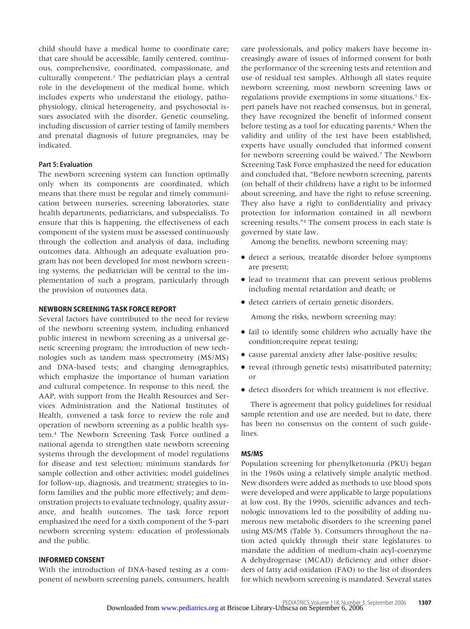child should have a medical home to coordinate care; that care should be accessible, family centered, continuous, comprehensive, coordinated, compassionate, and culturally competent.3 The pediatrician plays a central role in the development of the medical home, which includes experts who understand the etiology, pathophysiology, clinical heterogeneity, and psychosocial issues associated with the disorder. Genetic counseling, including discussion of carrier testing of family members and prenatal diagnosis of future pregnancies, may be indicated.

#### **Part 5: Evaluation**

The newborn screening system can function optimally only when its components are coordinated, which means that there must be regular and timely communication between nurseries, screening laboratories, state health departments, pediatricians, and subspecialists. To ensure that this is happening, the effectiveness of each component of the system must be assessed continuously through the collection and analysis of data, including outcomes data. Although an adequate evaluation program has not been developed for most newborn screening systems, the pediatrician will be central to the implementation of such a program, particularly through the provision of outcomes data.

#### **NEWBORN SCREENING TASK FORCE REPORT**

Several factors have contributed to the need for review of the newborn screening system, including enhanced public interest in newborn screening as a universal genetic screening program; the introduction of new technologies such as tandem mass spectrometry (MS/MS) and DNA-based tests; and changing demographics, which emphasize the importance of human variation and cultural competence. In response to this need, the AAP, with support from the Health Resources and Services Administration and the National Institutes of Health, convened a task force to review the role and operation of newborn screening as a public health system.4 The Newborn Screening Task Force outlined a national agenda to strengthen state newborn screening systems through the development of model regulations for disease and test selection; minimum standards for sample collection and other activities; model guidelines for follow-up, diagnosis, and treatment; strategies to inform families and the public more effectively; and demonstration projects to evaluate technology, quality assurance, and health outcomes. The task force report emphasized the need for a sixth component of the 5-part newborn screening system: education of professionals and the public.

#### **INFORMED CONSENT**

With the introduction of DNA-based testing as a component of newborn screening panels, consumers, health care professionals, and policy makers have become increasingly aware of issues of informed consent for both the performance of the screening tests and retention and use of residual test samples. Although all states require newborn screening, most newborn screening laws or regulations provide exemptions in some situations.<sup>5</sup> Expert panels have not reached consensus, but in general, they have recognized the benefit of informed consent before testing as a tool for educating parents.<sup>6</sup> When the validity and utility of the test have been established, experts have usually concluded that informed consent for newborn screening could be waived.7 The Newborn Screening Task Force emphasized the need for education and concluded that, "Before newborn screening, parents (on behalf of their children) have a right to be informed about screening, and have the right to refuse screening. They also have a right to confidentiality and privacy protection for information contained in all newborn screening results."4 The consent process in each state is governed by state law.

Among the benefits, newborn screening may:

- detect a serious, treatable disorder before symptoms are present;
- lead to treatment that can prevent serious problems including mental retardation and death; or
- detect carriers of certain genetic disorders.

Among the risks, newborn screening may:

- fail to identify some children who actually have the condition;require repeat testing;
- cause parental anxiety after false-positive results;
- reveal (through genetic tests) misattributed paternity; or
- detect disorders for which treatment is not effective.

There is agreement that policy guidelines for residual sample retention and use are needed, but to date, there has been no consensus on the content of such guidelines.

#### **MS/MS**

Population screening for phenylketonuria (PKU) began in the 1960s using a relatively simple analytic method. New disorders were added as methods to use blood spots were developed and were applicable to large populations at low cost. By the 1990s, scientific advances and technologic innovations led to the possibility of adding numerous new metabolic disorders to the screening panel using MS/MS (Table 3). Consumers throughout the nation acted quickly through their state legislatures to mandate the addition of medium-chain acyl-coenzyme A dehydrogenase (MCAD) deficiency and other disorders of fatty acid oxidation (FAO) to the list of disorders for which newborn screening is mandated. Several states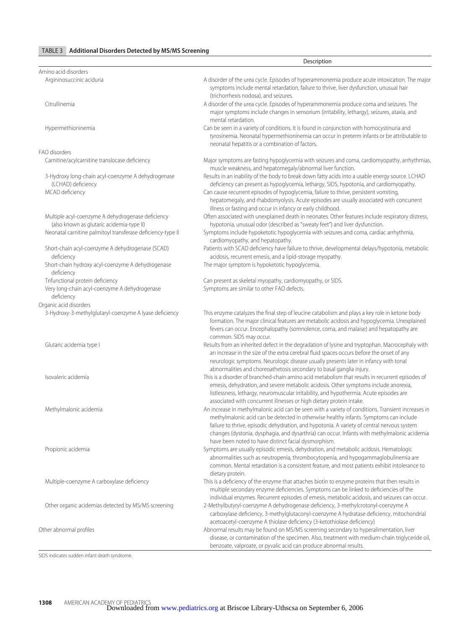|                                                                                                 | Description                                                                                                                                                                                                                                                                                                                                                                                                                                                        |
|-------------------------------------------------------------------------------------------------|--------------------------------------------------------------------------------------------------------------------------------------------------------------------------------------------------------------------------------------------------------------------------------------------------------------------------------------------------------------------------------------------------------------------------------------------------------------------|
| Amino acid disorders                                                                            |                                                                                                                                                                                                                                                                                                                                                                                                                                                                    |
| Argininosuccinic aciduria                                                                       | A disorder of the urea cycle. Episodes of hyperammonemia produce acute intoxication. The major<br>symptoms include mental retardation, failure to thrive, liver dysfunction, unusual hair<br>(trichorrhexis nodosa), and seizures.                                                                                                                                                                                                                                 |
| Citrullinemia                                                                                   | A disorder of the urea cycle. Episodes of hyperammonemia produce coma and seizures. The<br>major symptoms include changes in sensorium (irritability, lethargy), seizures, ataxia, and<br>mental retardation.                                                                                                                                                                                                                                                      |
| Hypermethioninemia                                                                              | Can be seen in a variety of conditions. It is found in conjunction with homocystinuria and<br>tyrosinemia. Neonatal hypermethioninemia can occur in preterm infants or be attributable to<br>neonatal hepatitis or a combination of factors.                                                                                                                                                                                                                       |
| FAO disorders                                                                                   |                                                                                                                                                                                                                                                                                                                                                                                                                                                                    |
| Carnitine/acylcarnitine translocase deficiency                                                  | Major symptoms are fasting hypoglycemia with seizures and coma, cardiomyopathy, arrhythmias,<br>muscle weakness, and hepatomegaly/abnormal liver function.                                                                                                                                                                                                                                                                                                         |
| 3-Hydroxy long-chain acyl-coenzyme A dehydrogenase<br>(LCHAD) deficiency                        | Results in an inability of the body to break down fatty acids into a usable energy source. LCHAD<br>deficiency can present as hypoglycemia, lethargy, SIDS, hypotonia, and cardiomyopathy.                                                                                                                                                                                                                                                                         |
| MCAD deficiency                                                                                 | Can cause recurrent episodes of hypoglycemia, failure to thrive, persistent vomiting,<br>hepatomegaly, and rhabdomyolysis. Acute episodes are usually associated with concurrent<br>illness or fasting and occur in infancy or early childhood.                                                                                                                                                                                                                    |
| Multiple acyl-coenzyme A dehydrogenase deficiency<br>(also known as glutaric acidemia-type II)  | Often associated with unexplained death in neonates. Other features include respiratory distress,<br>hypotonia, unusual odor (described as "sweaty feet") and liver dysfunction.                                                                                                                                                                                                                                                                                   |
| Neonatal carnitine palmitoyl transferase deficiency-type II                                     | Symptoms include hypoketotic hypoglycemia with seizures and coma, cardiac arrhythmia,<br>cardiomyopathy, and hepatopathy.                                                                                                                                                                                                                                                                                                                                          |
| Short-chain acyl-coenzyme A dehydrogenase (SCAD)<br>deficiency                                  | Patients with SCAD deficiency have failure to thrive, developmental delays/hypotonia, metabolic<br>acidosis, recurrent emesis, and a lipid-storage myopathy.                                                                                                                                                                                                                                                                                                       |
| Short-chain hydroxy acyl-coenzyme A dehydrogenase<br>deficiency                                 | The major symptom is hypoketotic hypoglycemia.                                                                                                                                                                                                                                                                                                                                                                                                                     |
| Trifunctional protein deficiency<br>Very long-chain acyl-coenzyme A dehydrogenase<br>deficiency | Can present as skeletal myopathy, cardiomyopathy, or SIDS.<br>Symptoms are similar to other FAO defects.                                                                                                                                                                                                                                                                                                                                                           |
| Organic acid disorders                                                                          |                                                                                                                                                                                                                                                                                                                                                                                                                                                                    |
| 3-Hydroxy-3-methylglutaryl-coenzyme A lyase deficiency                                          | This enzyme catalyzes the final step of leucine catabolism and plays a key role in ketone body<br>formation. The major clinical features are metabolic acidosis and hypoglycemia. Unexplained<br>fevers can occur. Encephalopathy (somnolence, coma, and malaise) and hepatopathy are<br>common. SIDS may occur.                                                                                                                                                   |
| Glutaric acidemia type I                                                                        | Results from an inherited defect in the degradation of lysine and tryptophan. Macrocephaly with<br>an increase in the size of the extra cerebral fluid spaces occurs before the onset of any<br>neurologic symptoms. Neurologic disease usually presents later in infancy with tonal<br>abnormalities and choreoathetosis secondary to basal ganglia injury.                                                                                                       |
| Isovaleric acidemia                                                                             | This is a disorder of branched-chain amino acid metabolism that results in recurrent episodes of<br>emesis, dehydration, and severe metabolic acidosis. Other symptoms include anorexia,<br>listlessness, lethargy, neuromuscular irritability, and hypothermia. Acute episodes are                                                                                                                                                                                |
| Methylmalonic acidemia                                                                          | associated with concurrent illnesses or high dietary protein intake.<br>An increase in methylmalonic acid can be seen with a variety of conditions. Transient increases in<br>methylmalonic acid can be detected in otherwise healthy infants. Symptoms can include<br>failure to thrive, episodic dehydration, and hypotonia. A variety of central nervous system<br>changes (dystonia, dysphagia, and dysarthria) can occur. Infants with methylmalonic acidemia |
| Propionic acidemia                                                                              | have been noted to have distinct facial dysmorphism.<br>Symptoms are usually episodic emesis, dehydration, and metabolic acidosis. Hematologic<br>abnormalities such as neutropenia, thrombocytopenia, and hypogammaglobulinemia are<br>common. Mental retardation is a consistent feature, and most patients exhibit intolerance to                                                                                                                               |
| Multiple-coenzyme A carboxylase deficiency                                                      | dietary protein.<br>This is a deficiency of the enzyme that attaches biotin to enzyme proteins that then results in<br>multiple secondary enzyme deficiencies. Symptoms can be linked to deficiencies of the                                                                                                                                                                                                                                                       |
| Other organic acidemias detected by MS/MS screening                                             | individual enzymes. Recurrent episodes of emesis, metabolic acidosis, and seizures can occur.<br>2-Methylbutyryl-coenzyme A dehydrogenase deficiency, 3-methylcrotonyl-coenzyme A<br>carboxylase deficiency, 3-methylglutaconyl-coenzyme A hydratase deficiency, mitochondrial<br>acetoacetyl-coenzyme A thiolase deficiency (3-ketothiolase deficiency)                                                                                                           |
| Other abnormal profiles                                                                         | Abnormal results may be found on MS/MS screening secondary to hyperalimentation, liver<br>disease, or contamination of the specimen. Also, treatment with medium-chain triglyceride oil,                                                                                                                                                                                                                                                                           |
|                                                                                                 | benzoate, valproate, or pyvalic acid can produce abnormal results.                                                                                                                                                                                                                                                                                                                                                                                                 |

SIDS indicates sudden infant death syndrome.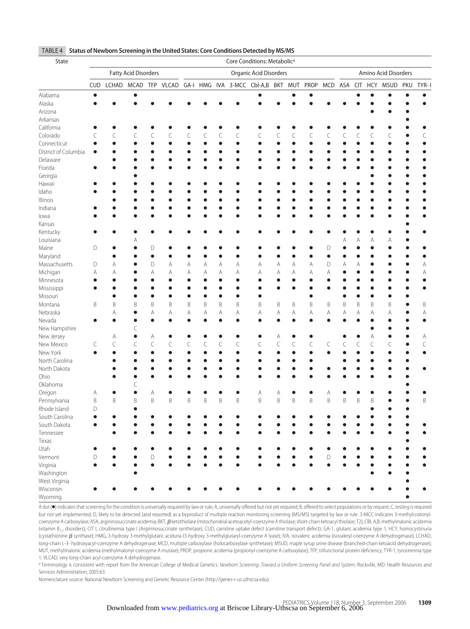|  | TABLE 4 Status of Newborn Screening in the United States: Core Conditions Detected by MS/MS |  |
|--|---------------------------------------------------------------------------------------------|--|
|--|---------------------------------------------------------------------------------------------|--|

| State                          |            |           |                             |   |   |           |           |           |           | Core Conditions: Metabolic <sup>a</sup>           |           |           |           |           |           |           |           |                           |     |           |
|--------------------------------|------------|-----------|-----------------------------|---|---|-----------|-----------|-----------|-----------|---------------------------------------------------|-----------|-----------|-----------|-----------|-----------|-----------|-----------|---------------------------|-----|-----------|
|                                |            |           | <b>Fatty Acid Disorders</b> |   |   |           |           |           |           | Organic Acid Disorders                            |           |           |           |           |           |           |           | Amino Acid Disorders      |     |           |
|                                | <b>CUD</b> | LCHAD     |                             |   |   |           |           |           |           | MCAD TFP VLCAD GA-I HMG IVA 3-MCC CbI-A,B BKT MUT |           |           |           |           |           |           |           | PROP MCD ASA CIT HCY MSUD | PKU | TYR-I     |
| Alabama                        | $\bullet$  |           | $\bullet$                   |   |   |           |           |           |           |                                                   |           | $\bullet$ | $\bullet$ |           |           |           |           | $\bullet$                 |     | $\bullet$ |
| Alaska                         |            |           |                             |   |   |           |           |           |           |                                                   |           |           |           |           |           |           |           |                           |     |           |
| Arizona                        |            |           |                             |   |   |           |           |           |           |                                                   |           |           |           |           |           |           |           |                           |     |           |
| Arkansas                       |            |           |                             |   |   |           |           |           |           |                                                   |           |           |           |           |           |           |           |                           |     |           |
| California                     |            |           |                             |   |   |           |           |           |           |                                                   |           |           |           |           |           |           |           |                           |     |           |
| Colorado                       | C          | C         | $\subset$                   | C | C | $\subset$ | $\subset$ | $\subset$ | $\subset$ | C                                                 | $\subset$ | $\subset$ | $\subset$ | $\subset$ | $\subset$ | $\subset$ | $\subset$ | C                         |     | С         |
| Connecticut                    |            | $\bullet$ | $\bullet$                   |   |   |           |           | $\bullet$ | $\bullet$ |                                                   |           | $\bullet$ |           |           |           |           |           |                           |     |           |
| District of Columbia           |            |           |                             |   |   |           |           |           |           |                                                   |           |           |           |           |           |           |           |                           |     |           |
| Delaware                       |            |           |                             |   |   |           |           |           |           |                                                   |           |           |           |           |           |           |           |                           |     |           |
| Florida                        |            |           |                             |   |   |           |           |           | $\bullet$ |                                                   |           |           |           |           |           |           |           |                           |     |           |
| Georgia                        |            |           |                             |   |   |           |           |           |           |                                                   |           |           |           |           |           |           |           |                           |     |           |
| Hawaii                         |            |           |                             |   |   |           |           |           |           |                                                   |           |           |           |           |           |           |           |                           |     |           |
| Idaho                          |            |           |                             |   |   |           |           |           |           |                                                   |           |           |           |           |           |           |           |                           |     |           |
| Illinois                       |            |           |                             |   |   |           |           |           |           |                                                   |           |           |           |           |           |           |           |                           |     |           |
| Indiana                        |            |           |                             |   |   |           |           |           |           |                                                   |           |           |           |           |           |           |           |                           |     |           |
| lowa                           |            |           |                             |   |   |           |           |           |           |                                                   |           |           |           |           |           |           |           |                           |     |           |
| Kansas                         |            |           |                             |   |   |           |           |           |           |                                                   |           |           |           |           |           |           |           |                           |     |           |
| Kentucky                       |            |           |                             |   |   |           |           |           |           |                                                   |           |           |           |           |           |           |           |                           |     |           |
| Louisiana                      |            |           | А                           |   |   |           |           |           |           |                                                   |           |           |           |           | A         | Α         | Α         | A                         |     |           |
| Maine                          | D          |           |                             | D |   |           |           |           |           |                                                   |           |           |           | D         |           |           |           |                           |     |           |
| Maryland                       |            |           |                             |   |   |           |           |           |           |                                                   |           |           |           |           |           |           |           |                           |     |           |
| Massachusetts                  | D          | Α         |                             | D | A | A         | Α         | A         | A         | А                                                 | A         | А         | A         | D         | A         | A         |           |                           |     | A         |
| Michigan                       | Α          | A         |                             | Α | A | A         | A         | A         | А         | A                                                 | A         | A         | Α         | A         |           |           |           |                           |     | A         |
| Minnesota                      | 6          |           |                             |   |   |           |           | $\bullet$ | $\bullet$ | ٠                                                 | ٠         | ٠         | $\bullet$ |           |           |           |           |                           |     |           |
| Mississippi                    | ٠          |           |                             |   |   |           |           |           | $\bullet$ |                                                   |           | c         |           |           |           |           |           |                           |     |           |
| Missouri                       |            |           |                             |   |   |           |           |           | $\bullet$ | 0                                                 |           |           | $\bullet$ |           |           |           |           |                           |     |           |
| Montana                        | B          | B         | B                           | B | B | B         | B         | B         | B         | B                                                 | B         | B         | B         | B         | B         | B         | B         | B                         |     | B         |
| Nebraska                       |            | Α         | $\bullet$                   | Α | A | A         | Α         | A         | A         | A                                                 | A         | А         | Α         | А         | A         | A         | A         |                           |     | Α         |
| Nevada                         |            |           |                             |   |   |           |           |           | $\bullet$ | $\bullet$                                         |           |           |           |           |           |           |           |                           |     |           |
| New Hampshire                  |            |           | C                           |   |   |           |           |           |           |                                                   |           |           |           |           |           |           |           |                           |     |           |
| New Jersey                     |            | Α         | $\bullet$                   | Α |   |           |           |           | 0         | $\bullet$                                         | A         | $\bullet$ | $\bullet$ |           |           | 0         | A         |                           |     | A         |
| New Mexico                     | C          | C         | C                           | C | C | C         | C         | C         | C         | C                                                 | $\subset$ | $\subset$ | C         | С         | C         | C         | C         | C                         |     | C         |
| New York                       |            |           |                             |   |   |           |           |           |           |                                                   |           |           |           |           |           |           |           |                           |     |           |
| North Carolina                 |            |           |                             |   |   |           |           |           |           |                                                   |           |           |           |           |           |           |           |                           |     |           |
| North Dakota                   |            |           |                             |   |   |           |           |           |           |                                                   |           |           |           |           |           |           |           |                           |     |           |
| Ohio                           |            |           |                             |   |   |           |           |           |           |                                                   |           |           |           |           |           |           |           |                           |     |           |
| Oklahoma                       |            |           |                             |   |   |           |           |           |           |                                                   |           |           |           |           |           |           |           |                           |     |           |
|                                |            |           | C                           |   |   |           |           |           |           |                                                   |           |           |           |           |           |           |           |                           |     |           |
| Oregon                         | A          | $\bullet$ | $\bullet$                   | A |   |           |           |           | $\bullet$ | A                                                 | A         | $\bullet$ | $\bullet$ | A<br>B    |           |           |           |                           |     |           |
| Pennsylvania                   | B<br>D     | B         | B                           | B | B | B         | B         | B         | B         | B                                                 | B         | B         | B         |           | B         | B         | B         |                           |     | B         |
| Rhode Island<br>South Carolina |            |           |                             |   |   |           |           |           |           |                                                   |           |           |           |           |           |           |           |                           |     |           |
|                                |            |           |                             |   |   |           |           |           |           |                                                   |           |           |           |           |           |           |           |                           |     |           |
| South Dakota                   |            |           |                             |   |   |           |           |           |           |                                                   |           |           |           |           |           |           |           |                           |     |           |
| Tennessee                      |            |           |                             |   |   |           |           |           |           |                                                   |           |           |           |           |           |           |           |                           |     |           |
| Texas                          |            |           |                             |   |   |           |           |           |           |                                                   |           |           |           |           |           |           |           |                           |     |           |
| Utah                           |            |           |                             |   |   |           |           |           |           |                                                   |           |           |           |           |           |           |           |                           |     |           |
| Vermont                        | D          |           |                             | D |   |           |           |           |           |                                                   |           |           |           | D         |           |           |           |                           |     |           |
| Virginia                       |            |           |                             |   |   |           |           |           |           |                                                   |           |           |           |           |           |           |           |                           |     |           |
| Washington<br>West Virginia    |            |           |                             |   |   |           |           |           |           |                                                   |           |           |           |           |           |           |           |                           |     |           |
| Wisconsin                      |            |           |                             |   |   |           |           |           |           |                                                   |           |           |           |           |           |           |           |                           |     |           |
| Wyoming                        |            |           |                             |   |   |           |           |           |           |                                                   |           |           |           |           |           |           |           |                           |     |           |

A dot (●) indicates that screening for the condition is universally required by law or rule; A, universally offered but not yet required; B, offered to select populations or by request; C, testing is required but not yet implemented; D, likely to be detected (and reported) as a byproduct of multiple reaction monitoring screening (MS/MS) targeted by law or rule. 3-MCC indicates 3-methylcrotonylcoenzyme A carboxylase; ASA, argininosuccinate acidemia; BKT,  $\beta$  ketothiolase (mitochondrial acetoacetyl-coenzyme A thiolase; short-chain ketoacyl thiolase; T2); CBL A,B, methylmalonic acidemia (vitamin B<sub>12</sub> disorders); CIT I, citrullinemia type I (Argininosuccinate synthetase); CUD, carnitine uptake defect (carnitine transport defect); GA-1, glutaric acidemia type 1; HCY, homocystinuria (cystathionine  $\beta$  synthase); HMG, 3-hydroxy 3-methylglutaric aciduria (3-hydroxy 3-methylglutaryl-coenzyme A lyase); IVA, isovaleric acidemia (isovaleryl-coenzyme A dehydrogenase); LCHAD, long-chain L-3- hydroxyacyl-coenzyme A dehydrogenase; MCD, multiple carboxylase (holocarboxylase synthetase); MSUD, maple syrup urine disease (branched-chain ketoacid dehydrogenase); MUT, methylmalonic acidemia (methylmalonyl-coenzyme A mutase); PROP, propionic acidemia (propionyl-coenzyme A carboxylase); TFP, trifunctional protein deficiency; TYR-1, tyrosinemia type 1; VLCAD, very long-chain acyl-coenzyme A dehydrogenase.

a Terminology is consistent with report from the American College of Medical Genetics. Newborn Screening: Toward a Uniform Screening Panel and System. Rockville, MD: Health Resources and Services Administration; 2005:63.

Nomenclature source: National Newborn Screening and Genetic Resource Center (http://genes-r-us.uthscsa.edu).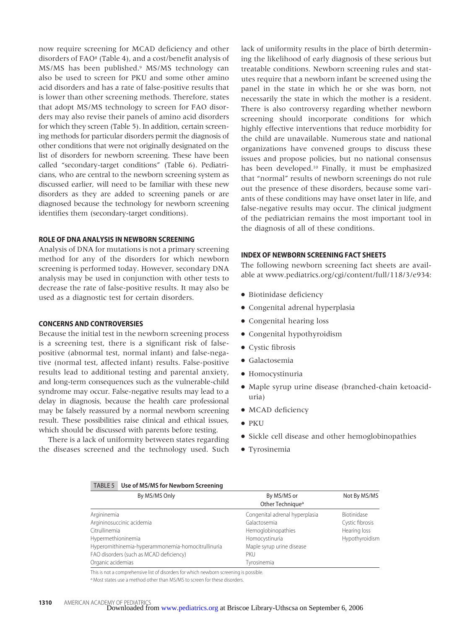now require screening for MCAD deficiency and other disorders of FAO8 (Table 4), and a cost/benefit analysis of MS/MS has been published.9 MS/MS technology can also be used to screen for PKU and some other amino acid disorders and has a rate of false-positive results that is lower than other screening methods. Therefore, states that adopt MS/MS technology to screen for FAO disorders may also revise their panels of amino acid disorders for which they screen (Table 5). In addition, certain screening methods for particular disorders permit the diagnosis of other conditions that were not originally designated on the list of disorders for newborn screening. These have been called "secondary-target conditions" (Table 6). Pediatricians, who are central to the newborn screening system as discussed earlier, will need to be familiar with these new disorders as they are added to screening panels or are diagnosed because the technology for newborn screening identifies them (secondary-target conditions).

#### **ROLE OF DNA ANALYSIS IN NEWBORN SCREENING**

Analysis of DNA for mutations is not a primary screening method for any of the disorders for which newborn screening is performed today. However, secondary DNA analysis may be used in conjunction with other tests to decrease the rate of false-positive results. It may also be used as a diagnostic test for certain disorders.

#### **CONCERNS AND CONTROVERSIES**

Because the initial test in the newborn screening process is a screening test, there is a significant risk of falsepositive (abnormal test, normal infant) and false-negative (normal test, affected infant) results. False-positive results lead to additional testing and parental anxiety, and long-term consequences such as the vulnerable-child syndrome may occur. False-negative results may lead to a delay in diagnosis, because the health care professional may be falsely reassured by a normal newborn screening result. These possibilities raise clinical and ethical issues, which should be discussed with parents before testing.

There is a lack of uniformity between states regarding the diseases screened and the technology used. Such

lack of uniformity results in the place of birth determining the likelihood of early diagnosis of these serious but treatable conditions. Newborn screening rules and statutes require that a newborn infant be screened using the panel in the state in which he or she was born, not necessarily the state in which the mother is a resident. There is also controversy regarding whether newborn screening should incorporate conditions for which highly effective interventions that reduce morbidity for the child are unavailable. Numerous state and national organizations have convened groups to discuss these issues and propose policies, but no national consensus has been developed.10 Finally, it must be emphasized that "normal" results of newborn screenings do not rule out the presence of these disorders, because some variants of these conditions may have onset later in life, and false-negative results may occur. The clinical judgment of the pediatrician remains the most important tool in the diagnosis of all of these conditions.

#### **INDEX OF NEWBORN SCREENING FACT SHEETS**

The following newborn screening fact sheets are available at www.pediatrics.org/cgi/content/full/118/3/e934:

- Biotinidase deficiency
- Congenital adrenal hyperplasia
- Congenital hearing loss
- Congenital hypothyroidism
- Cystic fibrosis
- Galactosemia
- Homocystinuria
- Maple syrup urine disease (branched-chain ketoaciduria)
- MCAD deficiency
- PKU
- Sickle cell disease and other hemoglobinopathies
- Tyrosinemia

#### TABLE 5 **Use of MS/MS for Newborn Screening**

| By MS/MS Only                                      | By MS/MS or<br>Other Technique <sup>a</sup> | Not By MS/MS       |
|----------------------------------------------------|---------------------------------------------|--------------------|
| Argininemia                                        | Congenital adrenal hyperplasia              | <b>Biotinidase</b> |
| Argininosuccinic acidemia                          | Galactosemia                                | Cystic fibrosis    |
| Citrullinemia                                      | Hemoglobinopathies                          | Hearing loss       |
| Hypermethioninemia                                 | Homocystinuria                              | Hypothyroidism     |
| Hyperornithinemia-hyperammonemia-homocitrullinuria | Maple syrup urine disease                   |                    |
| FAO disorders (such as MCAD deficiency)            | PKU                                         |                    |
| Organic acidemias                                  | Tyrosinemia                                 |                    |

This is not a comprehensive list of disorders for which newborn screening is possible.

a Most states use a method other than MS/MS to screen for these disorders.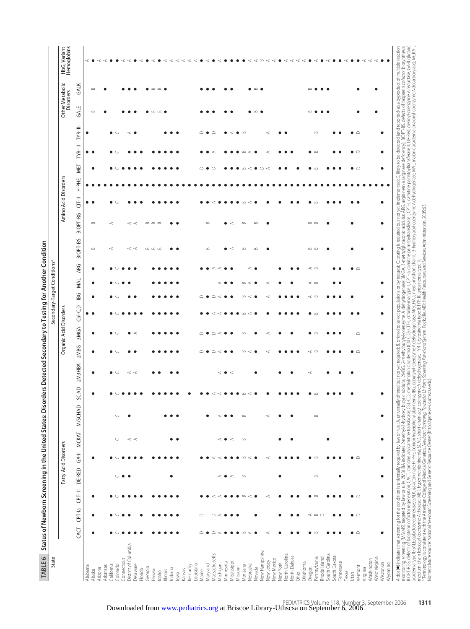TABLE 6 Status of Newborn Screening in the United States: Disorders Detected Secondary to Testing for Another Condition TABLE 6 Status of Newborn Screening in the United States: Disorders Detected Secondary to Testing for Another Condition

State Secondary-Target Conditionsa

State

Secondary-Target Conditions<sup>a</sup>

|                              |                        |                         |               | Fatty Acid Disorders    |          |                 |               |       |           |                        | Organic Acid Disorders |          |           |                  |                                      |                            | Amino Acid Disorders |       |                         |          |                           | Other Metabolic<br>Disorders |                   | HbG, Variant<br>Hemoglobins                              |
|------------------------------|------------------------|-------------------------|---------------|-------------------------|----------|-----------------|---------------|-------|-----------|------------------------|------------------------|----------|-----------|------------------|--------------------------------------|----------------------------|----------------------|-------|-------------------------|----------|---------------------------|------------------------------|-------------------|----------------------------------------------------------|
|                              | CACT                   | $CPT$ -la               | CPT-II DE-RED |                         | GA-II    |                 | MCKAT M/SCHAD | SC AD | 2M3HBA    | 2MBG                   | 3MGA                   | $Cb$ -CD | BG        | MAL              | BIOPT-BS<br>ARG                      | BIOPT-RG                   | CIT-II               | H-PHE | NET                     | TYR-II   | TYR-III                   | GALE                         | GALK              |                                                          |
| Alabama                      |                        |                         |               |                         |          |                 |               |       |           |                        |                        |          |           |                  |                                      |                            |                      |       |                         |          |                           |                              |                   | $\,<\,$ 0                                                |
| Arizona<br>Alaska            |                        |                         |               |                         |          |                 |               |       |           |                        |                        |          |           |                  | $\infty$                             | $\infty$                   |                      |       |                         |          |                           | $\infty$                     | $\infty$          | ⋖                                                        |
| Arkansas                     |                        |                         |               |                         |          |                 |               |       |           |                        |                        |          |           |                  |                                      |                            |                      |       |                         |          |                           |                              |                   |                                                          |
| California                   |                        |                         |               |                         |          |                 |               |       |           |                        |                        |          |           |                  | ⋖                                    | ⋖                          |                      |       |                         |          |                           |                              |                   |                                                          |
| Colorado                     |                        |                         |               |                         |          | $\cup$          |               |       |           |                        |                        |          |           |                  |                                      |                            |                      |       |                         |          |                           |                              |                   |                                                          |
| Connecticut                  |                        |                         |               |                         |          |                 |               |       |           |                        |                        |          |           |                  |                                      |                            |                      |       |                         |          |                           |                              |                   | ⋖                                                        |
| District of Columbia         |                        |                         |               |                         |          |                 |               |       | ⋖         |                        |                        |          |           |                  |                                      |                            |                      |       |                         |          | ⊄                         |                              |                   | ⋖                                                        |
| Delaware                     |                        |                         |               |                         |          | $\prec$ $\prec$ |               |       | ⋖         |                        | ď                      |          |           |                  | $\,<\,$                              | $\,<\,$                    |                      |       |                         |          |                           |                              |                   |                                                          |
| Florida                      |                        |                         |               |                         |          |                 |               |       |           |                        |                        |          |           |                  |                                      |                            |                      |       |                         |          |                           |                              |                   | ⋖                                                        |
| Georgia                      |                        |                         |               |                         |          |                 |               |       |           |                        |                        |          |           |                  |                                      |                            |                      |       |                         |          |                           |                              |                   |                                                          |
| Hawaii                       |                        |                         |               |                         |          |                 |               |       |           |                        |                        |          |           |                  |                                      |                            |                      |       |                         |          |                           | $\infty$                     |                   | ⋖                                                        |
| Idaho                        |                        |                         |               |                         |          |                 |               |       |           |                        |                        |          |           |                  | $\omega$ $\omega$ $\omega$           | $\omega$ $\omega$ $\omega$ |                      |       |                         |          |                           | $\infty$                     | $\infty$ $\infty$ |                                                          |
| Illinois                     |                        |                         |               |                         |          |                 |               |       |           |                        |                        |          |           |                  |                                      |                            |                      |       |                         |          |                           |                              |                   |                                                          |
|                              |                        |                         |               |                         |          |                 |               |       |           |                        |                        |          |           |                  |                                      |                            |                      |       |                         |          |                           |                              |                   |                                                          |
| Indiana                      |                        |                         |               |                         |          |                 |               |       |           |                        |                        |          |           |                  |                                      |                            |                      |       |                         |          |                           |                              |                   |                                                          |
| lowa                         |                        |                         |               |                         |          |                 |               |       |           |                        |                        |          |           |                  |                                      |                            |                      |       |                         |          |                           |                              |                   |                                                          |
| Kansas                       |                        |                         |               |                         |          |                 |               |       |           |                        |                        |          |           |                  |                                      |                            |                      |       |                         |          |                           |                              |                   |                                                          |
| Kentucky                     |                        |                         |               |                         |          |                 |               |       |           |                        |                        |          |           |                  |                                      |                            |                      |       |                         |          |                           |                              |                   | くくくくくく                                                   |
| Louisiana                    |                        |                         |               |                         |          |                 |               |       |           |                        |                        |          |           |                  |                                      |                            |                      |       |                         |          |                           |                              |                   |                                                          |
| Maine                        | $\bigcirc$             | $\supset$               |               |                         |          |                 |               |       |           | $\supset$              | $\bigcirc$             |          | ≏         |                  |                                      |                            |                      |       | ≏                       |          |                           |                              |                   | $\bullet$                                                |
| Maryland                     |                        |                         |               |                         |          |                 |               |       |           |                        |                        |          |           |                  | $\infty$                             | $\infty$                   |                      |       |                         |          | $\circ$ $\bullet$ $\circ$ |                              |                   | $\prec$                                                  |
| Massachusetts                | $\scriptstyle\bigcirc$ | $\scriptstyle\triangle$ | ⋖             |                         | ⋖        |                 |               | ⋖     |           | $\scriptstyle\bigcirc$ | $\supset$              |          | $\supset$ |                  | ⋖                                    |                            | ⋖                    |       | $\supset$               | ⋖        |                           |                              |                   |                                                          |
| Michigan                     | ⋖                      | $\prec$                 | ∢             |                         | ∢        | $\lt$ 0         |               |       | $\,<\,$ 0 | ⋖                      | ⋖                      |          | ⋖         | ⊄                |                                      |                            |                      |       |                         |          |                           |                              |                   | ⋖                                                        |
| Minnesota                    |                        |                         |               | $\,<\, \bullet\, \prec$ |          |                 |               |       |           |                        |                        |          |           |                  |                                      |                            |                      |       |                         |          |                           |                              |                   |                                                          |
| Mississippi                  |                        |                         |               |                         |          | $\prec$         |               |       | $\prec$   |                        |                        |          |           |                  | ₫                                    | ¢                          |                      |       |                         |          |                           |                              |                   |                                                          |
| Missouri                     |                        |                         |               |                         |          |                 |               |       |           |                        |                        |          |           |                  |                                      |                            |                      |       |                         |          |                           |                              |                   |                                                          |
| Montana                      | $\infty$               |                         | $\infty$      | $\infty$                | $\infty$ | $\infty$        | $\infty$      | ∞     |           | $\infty$               | $\infty$               |          | $\infty$  | $\infty$         | $\infty$                             | $\infty$                   | $\infty$             |       | $\infty$                | m        | $\infty$                  |                              |                   |                                                          |
| Nebraska                     |                        |                         |               |                         |          |                 |               |       |           |                        |                        |          |           |                  |                                      |                            | ⋖                    |       | ⋖                       |          |                           |                              |                   | ⋖                                                        |
| Nevada                       |                        |                         |               |                         |          |                 |               |       |           |                        |                        |          |           |                  | $\infty$                             | $\infty$                   |                      |       |                         |          |                           | $\infty$                     | $\infty$          |                                                          |
| New Hampshire                |                        |                         |               |                         |          |                 |               |       |           |                        |                        |          |           |                  |                                      |                            |                      |       | $\scriptstyle\triangle$ |          |                           |                              |                   |                                                          |
| New Jersey                   |                        |                         | ⋖             |                         | ⋖        |                 | ⋖             |       |           | ₫                      |                        |          |           | ₫                |                                      |                            |                      |       | ⋖                       | ₫        | ⋖                         |                              |                   |                                                          |
| New Mexico                   |                        |                         |               |                         |          |                 |               |       |           |                        |                        |          |           |                  |                                      |                            |                      |       |                         |          |                           |                              |                   | $\alpha$ $\alpha$ $\alpha$ $\alpha$                      |
| New York                     |                        |                         |               |                         |          |                 |               |       |           |                        |                        |          |           |                  |                                      |                            |                      |       |                         |          |                           |                              |                   |                                                          |
| North Carolina               |                        |                         |               |                         |          |                 |               |       |           |                        |                        |          |           |                  |                                      |                            |                      |       |                         |          |                           |                              |                   |                                                          |
| North Dakota                 |                        |                         |               |                         |          |                 |               |       |           |                        |                        |          |           |                  |                                      |                            |                      |       |                         |          |                           |                              |                   |                                                          |
| Ohio                         |                        |                         |               |                         |          |                 |               |       |           |                        |                        |          |           |                  |                                      |                            |                      |       |                         |          |                           |                              |                   | $\mathbf{I} \mathbf{I} \mathbf{I} \mathbf{I} \mathbf{I}$ |
| Oklahoma                     |                        |                         |               |                         |          |                 |               |       |           |                        |                        |          |           |                  |                                      |                            |                      |       |                         |          |                           |                              |                   |                                                          |
| Oregon                       |                        |                         |               |                         |          |                 |               |       | ⋖         | ⊲ ∞                    |                        |          | ≪ ഥ       | $\prec$ $\infty$ | $\infty$ $\infty$<br>$\leq$ $\infty$ | $\infty$ $\infty$          | e                    |       |                         |          |                           | $\!\! \simeq$                | $\infty$          |                                                          |
| Pennsylvania<br>Rhode Island |                        | $\alpha \in \mathbb{C}$ | $\infty$      | $\infty$                | $\alpha$ |                 | $\infty$      | ∞     |           |                        | $\infty$               | $\infty$ |           |                  |                                      |                            | $\infty$             |       | $\infty$                | $\alpha$ | $\infty$                  |                              |                   | ⋖ ●                                                      |
|                              |                        |                         |               |                         |          |                 |               |       |           |                        |                        |          |           |                  |                                      |                            |                      |       |                         |          |                           |                              |                   |                                                          |

A dot (•) indicate that sceening for the condition is universally required A universally offered but only et required to a by required but not percept condition and the condition is universally required by law or rule, A u A dot (●) indicates that screening for the condition is universally required by law or rule; A, universally offered burned to select populations or by required busing is required but not yet implemented. D, likely to be de monitoring screening (MS/MS) largeted by law or rule. 2N3HBA indicates 2-methyl-dyby-hybus, 2NeSG, 2-methyloutyp-coenzyme A debydrogenase; 3MGA, 3-methylglutaconic adduria; ARG, argininemia (arginase deficiency); BIOPT-BS, 80PT-REG, defects of advanced ronations conclusions asycles. Bd.-CD, methylmalonic acidemia (Cb CD, Tartylmalonic acidemia (Cb CD); CT1-1, can interparted actions conclusions and the Defect of the plance Are durance Are du academia type lls datacokreepimease; GALK,galactokinase; HPHE, benign hyperphenylalaninemia; BG, isony-koenzyme. Ademydrogenase; M/SCHAD,medium/short-chan-la-3-hydroxyacy-coenzyme. Ademydrogenase; MPL, malonic academia (ma Wyoming ● ● Terminology is consistent with the American College of Medical Genetics. Newborn Screening: Toward a Uniform Screening Panel and System. Rockville, MD: Health Resources and Services Administration; 2005:63. medium-chain ketoacyl-coenzyme A thiolase; MET, hypermethioninemia; SCAD, short-chain acyl-coenzyme A dehydrogenase; TYR-II, tyrosinemia type III, tyrosinemia type II; TYR-II, tyrosinemia type II; TYR-III, tyrosinemia type Nomenclature source: National Newborn Screening and Genetic Resource Center (http://genes-r-us.uthscsa.edu).

South Carolina ● ● ● ● ● ● ● ● ●● ● ● ● ●● ● ● A South Dakota ● ● ● ● ● ● ● ● ●● ● ● ● ● ● ● ● Tennessee ● ● ● ● ● ● ● ● ● ● ●● ● ● ● ● ● ● ● Texas  $A$ Utah ● ● ● ● ● ● ● ●● ● ● ● ● ●●● ● ● Vermont D D D D D D ● D ● ● DD D ●● ● Virginia ● A Washington ● A<br>Washington ● A West Virginia ● ●● A Wisconsin ● ● ● ● ● ● ● ● ● ● ●● ● ● ● ● ● ● ● ●

٠

 $\circ$  $\bullet$ 

 $\circ$  $\bullet$ 

 $\bullet$ 

 $\bullet$ 

 $\bullet$ 

 $\bullet$ 

 $\bullet$  $\bullet$ 

 $\bullet$ 

 $\bullet$ 

 $\bullet$ 

 $\bullet$ 

 $\bullet$ 

 $\bullet$ 

 $\bullet$ 

 $\bullet$ 

 $\bullet$ 

 $\bullet$ 

West Virginia Washington

Wisconsin Wyoming

 $\bullet$  $\bigcap$ 

 $\bullet$ 

 $\circ$  $\bullet$ 

 $\bigcirc$ 

 $\bullet$  $\circ$ 

 $\bullet$  $\circ$ 

 $\bullet$  $\circ$ 

 $\circ$  $\bullet$ 

 $\bullet$   $\circ$ 

Vermont Virginia

South Carolina south Dakota

**Tennessee** 

**Texas** Jtah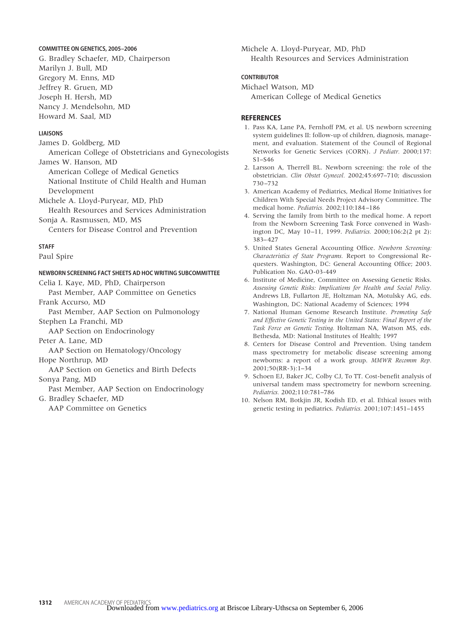## **COMMITTEE ON GENETICS, 2005–2006**

G. Bradley Schaefer, MD, Chairperson Marilyn J. Bull, MD Gregory M. Enns, MD Jeffrey R. Gruen, MD Joseph H. Hersh, MD Nancy J. Mendelsohn, MD Howard M. Saal, MD

#### **LIAISONS**

James D. Goldberg, MD American College of Obstetricians and Gynecologists James W. Hanson, MD American College of Medical Genetics National Institute of Child Health and Human Development Michele A. Lloyd-Puryear, MD, PhD

Health Resources and Services Administration Sonja A. Rasmussen, MD, MS

Centers for Disease Control and Prevention

# **STAFF**

Paul Spire

#### **NEWBORN SCREENING FACT SHEETS AD HOC WRITING SUBCOMMITTEE**

Celia I. Kaye, MD, PhD, Chairperson

Past Member, AAP Committee on Genetics Frank Accurso, MD

Past Member, AAP Section on Pulmonology

Stephen La Franchi, MD

AAP Section on Endocrinology

Peter A. Lane, MD

AAP Section on Hematology/Oncology

Hope Northrup, MD

AAP Section on Genetics and Birth Defects Sonya Pang, MD

Past Member, AAP Section on Endocrinology

G. Bradley Schaefer, MD

AAP Committee on Genetics

Michele A. Lloyd-Puryear, MD, PhD Health Resources and Services Administration

#### **CONTRIBUTOR**

Michael Watson, MD American College of Medical Genetics

#### **REFERENCES**

- 1. Pass KA, Lane PA, Fernhoff PM, et al. US newborn screening system guidelines II: follow-up of children, diagnosis, management, and evaluation. Statement of the Council of Regional Networks for Genetic Services (CORN). *J Pediatr.* 2000;137: S1–S46
- 2. Larsson A, Therrell BL. Newborn screening: the role of the obstetrician. *Clin Obstet Gynecol.* 2002;45:697–710; discussion 730 –732
- 3. American Academy of Pediatrics, Medical Home Initiatives for Children With Special Needs Project Advisory Committee. The medical home. *Pediatrics.* 2002;110:184 –186
- 4. Serving the family from birth to the medical home. A report from the Newborn Screening Task Force convened in Washington DC, May 10 –11, 1999. *Pediatrics.* 2000;106:2(2 pt 2): 383– 427
- 5. United States General Accounting Office. *Newborn Screening: Characteristics of State Programs.* Report to Congressional Requesters. Washington, DC: General Accounting Office; 2003. Publication No. GAO-03-449
- 6. Institute of Medicine, Committee on Assessing Genetic Risks. *Assessing Genetic Risks: Implications for Health and Social Policy.* Andrews LB, Fullarton JE, Holtzman NA, Motulsky AG, eds. Washington, DC: National Academy of Sciences; 1994
- 7. National Human Genome Research Institute. *Promoting Safe and Effective Genetic Testing in the United States: Final Report of the Task Force on Genetic Testing.* Holtzman NA, Watson MS, eds. Bethesda, MD: National Institutes of Health; 1997
- 8. Centers for Disease Control and Prevention. Using tandem mass spectrometry for metabolic disease screening among newborns: a report of a work group. *MMWR Recomm Rep.* 2001;50(RR-3):1–34
- 9. Schoen EJ, Baker JC, Colby CJ, To TT. Cost-benefit analysis of universal tandem mass spectrometry for newborn screening. *Pediatrics.* 2002;110:781–786
- 10. Nelson RM, Botkjin JR, Kodish ED, et al. Ethical issues with genetic testing in pediatrics. *Pediatrics.* 2001;107:1451–1455